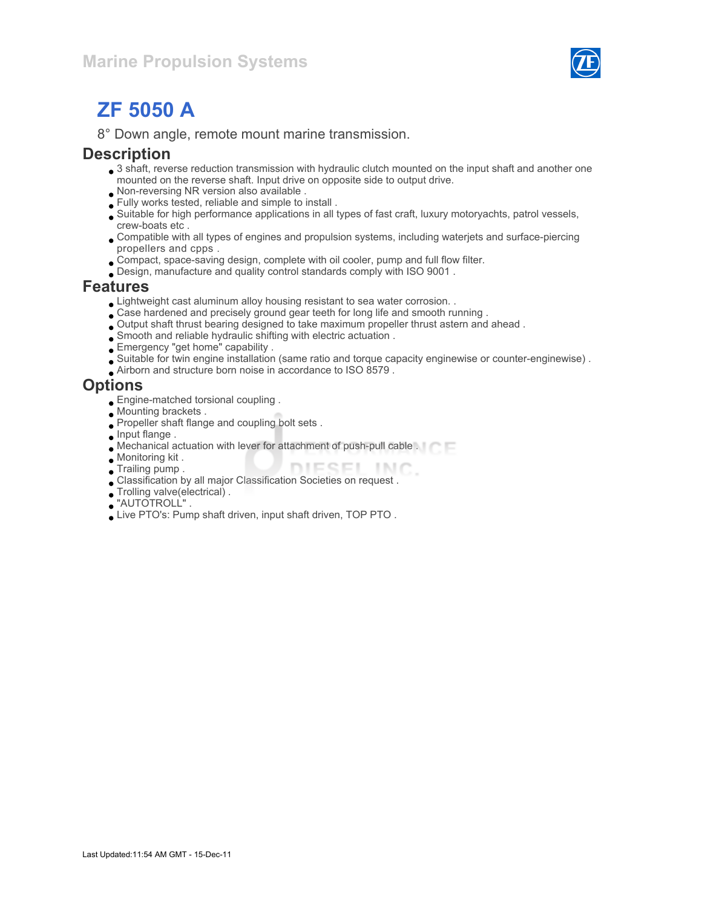

# ZF 5050 A

8° Down angle, remote mount marine transmission.

#### **Description**

- 3 shaft, reverse reduction transmission with hydraulic clutch mounted on the input shaft and another one mounted on the reverse shaft. Input drive on opposite side to output drive.
- Non-reversing NR version also available .
- Fully works tested, reliable and simple to install .
- Suitable for high performance applications in all types of fast craft, luxury motoryachts, patrol vessels, crew-boats etc .
- Compatible with all types of engines and propulsion systems, including waterjets and surface-piercing propellers and cpps .
- Compact, space-saving design, complete with oil cooler, pump and full flow filter.
- Design, manufacture and quality control standards comply with ISO 9001 .

#### Features

- Lightweight cast aluminum alloy housing resistant to sea water corrosion. .
- Case hardened and precisely ground gear teeth for long life and smooth running .
- Output shaft thrust bearing designed to take maximum propeller thrust astern and ahead .
- Smooth and reliable hydraulic shifting with electric actuation .
- Emergency "get home" capability .
- Suitable for twin engine installation (same ratio and torque capacity enginewise or counter-enginewise) .
- Airborn and structure born noise in accordance to ISO 8579 .

#### **Options**

- Engine-matched torsional coupling .
- Mounting brackets .
- Propeller shaft flange and coupling bolt sets .
- **Input flange.**
- Mechanical actuation with lever for attachment of push-pull cable .
- Monitoring kit .
- DIESEL INC. Trailing pump .
- Classification by all major Classification Societies on request .
- Trolling valve(electrical) .
- "AUTOTROLL" .
- Live PTO's: Pump shaft driven, input shaft driven, TOP PTO .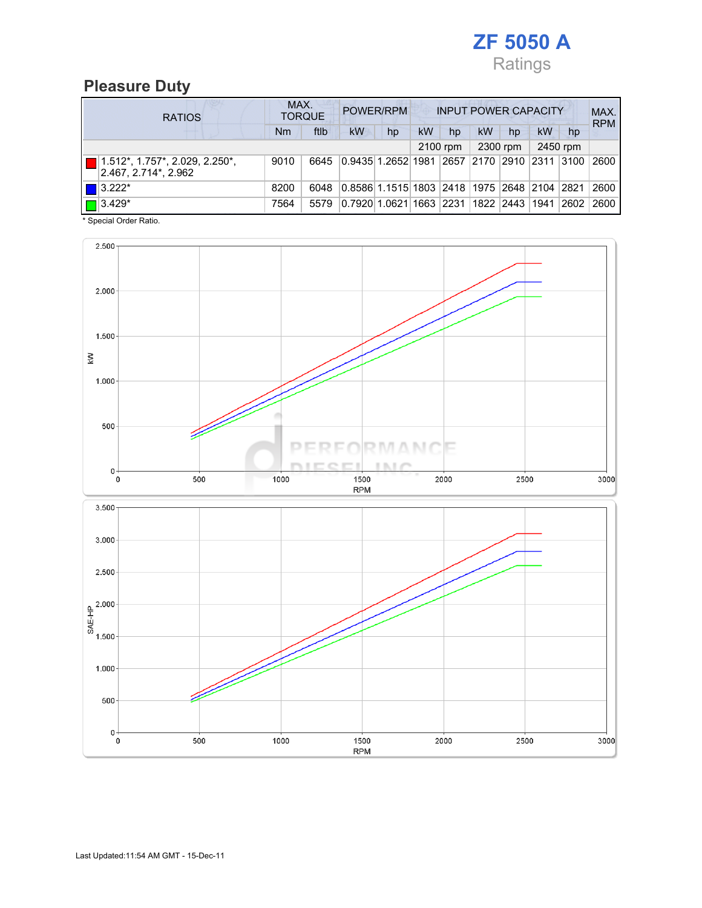

## Pleasure Duty

| <b>RATIOS</b>                                                 | MAX.<br>POWER/RPM<br><b>INPUT POWER CAPACITY</b><br><b>TORQUE</b> |      |                                                  |    |    |          |    |                     |      |          | MAX.<br><b>RPM</b> |
|---------------------------------------------------------------|-------------------------------------------------------------------|------|--------------------------------------------------|----|----|----------|----|---------------------|------|----------|--------------------|
|                                                               | Nm                                                                | ftlb | kW                                               | hp | kW | hp       | kW | hp                  | kW   | hp       |                    |
|                                                               |                                                                   |      |                                                  |    |    | 2100 rpm |    | 2300 rpm            |      | 2450 rpm |                    |
| $\Box$ 1.512*, 1.757*, 2.029, 2.250*,<br>2.467, 2.714*, 2.962 | 9010                                                              | 6645 | 0.9435 1.2652 1981                               |    |    | 2657     |    | 2170 2910 2311 3100 |      |          | 2600               |
| $\blacksquare$ 3.222*                                         | 8200                                                              | 6048 | 0.8586 1.1515 1803  2418  1975  2648  2104  2821 |    |    |          |    |                     |      |          | 2600               |
| $\boxed{\blacksquare}$ 3.429*                                 | 7564                                                              | 5579 | 0.7920 1.0621 1663 2231 1822 2443                |    |    |          |    |                     | 1941 | 2602     | 2600               |

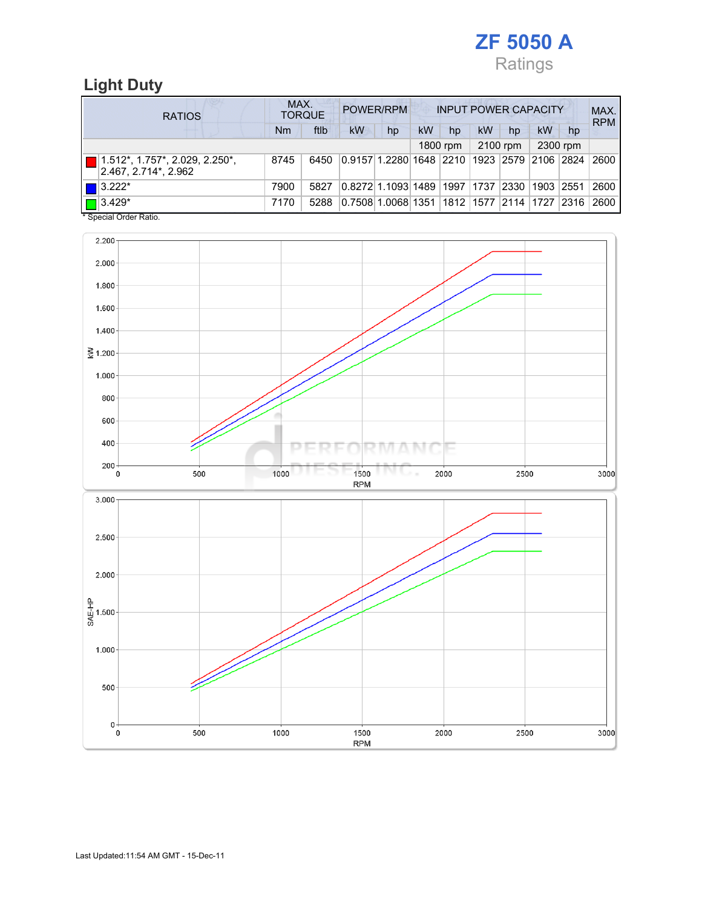

## Light Duty

|  | <b>RATIOS</b>                                                      |      | MAX.<br>POWER/RPM<br><b>INPUT POWER CAPACITY</b><br><b>TORQUE</b> |                                             |    |    |          |      |                        |            |                | MAX.<br><b>RPM</b> |
|--|--------------------------------------------------------------------|------|-------------------------------------------------------------------|---------------------------------------------|----|----|----------|------|------------------------|------------|----------------|--------------------|
|  |                                                                    | Nm   | ftlb                                                              | kW                                          | hp | kW | hp       | kW   | hp                     | kW         | hp             |                    |
|  |                                                                    |      |                                                                   |                                             |    |    | 1800 rpm |      | 2100 rpm               |            | 2300 rpm       |                    |
|  | $\boxed{ }$ 1.512*, 1.757*, 2.029, 2.250*,<br>2.467, 2.714*, 2.962 | 8745 | 6450                                                              | 0.9157 1.2280 1648 2210 1923 2579 2106 2824 |    |    |          |      |                        |            |                | 2600               |
|  | $\blacksquare$ 3.222*                                              | 7900 | 5827                                                              | 0.8272 1.1093 1489                          |    |    | 1997     | 1737 | 2330                   | 1903  2551 |                | 2600               |
|  | $\boxed{\Box}$ 3.429*                                              | 7170 | 5288                                                              | 0.7508 1.0068 1351                          |    |    |          |      | 1812  1577  2114  1727 |            | $ 2316\rangle$ | 2600               |

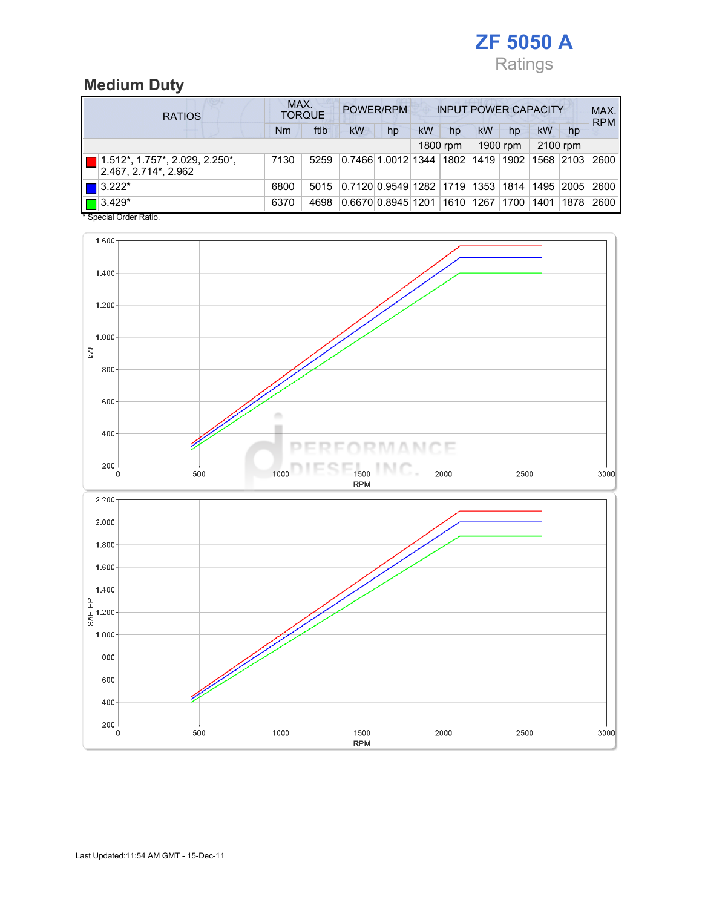

## Medium Duty

| <b>RATIOS</b>                                          | MAX.<br>POWER/RPM<br><b>INPUT POWER CAPACITY</b><br><b>TORQUE</b> |      |                                             |                    |    |          |            |          |           | MAX.<br><b>RPM</b> |      |
|--------------------------------------------------------|-------------------------------------------------------------------|------|---------------------------------------------|--------------------|----|----------|------------|----------|-----------|--------------------|------|
|                                                        | Nm                                                                | ftlb | kW                                          | hp                 | kW | hp       | kW         | hp       | <b>kW</b> | hp                 |      |
|                                                        |                                                                   |      |                                             |                    |    | 1800 rpm |            | 1900 rpm |           | 2100 rpm           |      |
| 1.512*, 1.757*, 2.029, 2.250*,<br>2.467, 2.714*, 2.962 | 7130                                                              | 5259 | 0.7466 1.0012 1344 1802 1419 1902           |                    |    |          |            |          |           | 1568  2103         | 2600 |
| $\blacksquare$ 3.222*                                  | 6800                                                              | 5015 | 0.7120 0.9549 1282 1719 1353 1814 1495 2005 |                    |    |          |            |          |           |                    | 2600 |
| $\blacksquare$ 3.429*                                  | 6370                                                              | 4698 |                                             | 0.6670 0.8945 1201 |    |          | 1610  1267 | 1700     | 1401      | 1878               | 2600 |

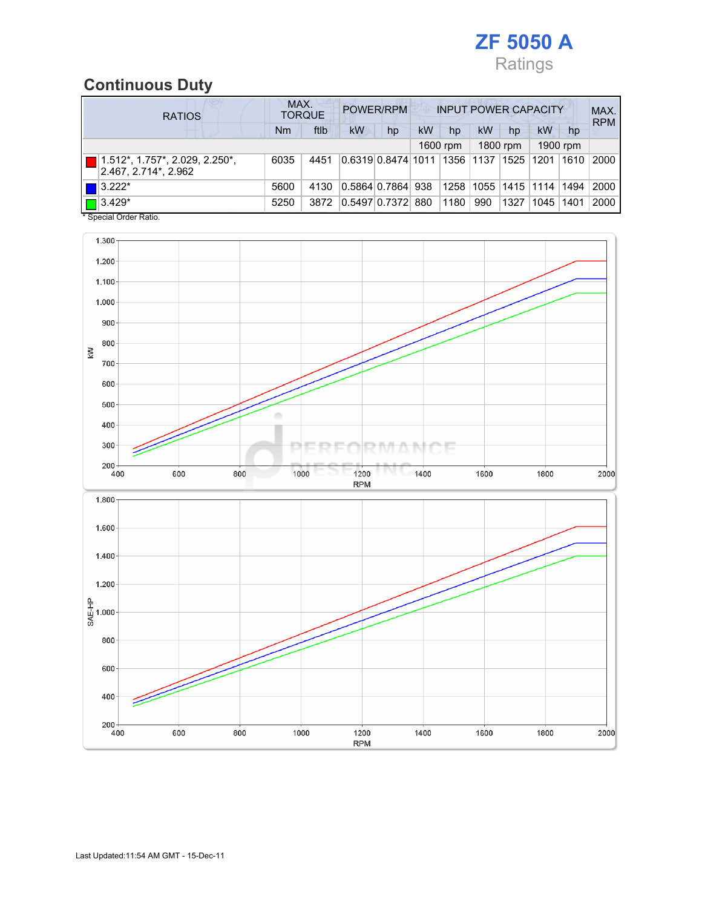

## Continuous Duty

| <b>RATIOS</b>                                        | MAX. | <b>TORQUE</b> | POWER/RPM<br><b>INPUT POWER CAPACITY</b> |                                   |    |          |                      |          |      |          | MAX.<br><b>RPM</b> |
|------------------------------------------------------|------|---------------|------------------------------------------|-----------------------------------|----|----------|----------------------|----------|------|----------|--------------------|
|                                                      | Nm   | ftlb          | <b>kW</b>                                | hp                                | kW | hp       | kW                   | hp       | kW   | hp       |                    |
|                                                      |      |               |                                          |                                   |    | 1600 rpm |                      | 1800 rpm |      | 1900 rpm |                    |
| 1.512*, 1.757*, 2.029, 2.250*,<br>2.467.2.714*.2.962 | 6035 | 4451          |                                          | 0.6319 0.8474 1011 1356 1137 1525 |    |          |                      |          | 1201 | 1610     | 2000               |
| $\blacksquare$ 3.222*                                | 5600 | 4130          |                                          | 0.5864 0.7864 938                 |    |          | 1258 1055 1415 11114 |          |      | 1494     | 2000               |
| $\blacksquare$ 3.429*                                | 5250 | 3872          |                                          | 0.5497 0.7372 880                 |    | 1180     | 990                  | 1327     | 1045 | 1401     | 2000               |

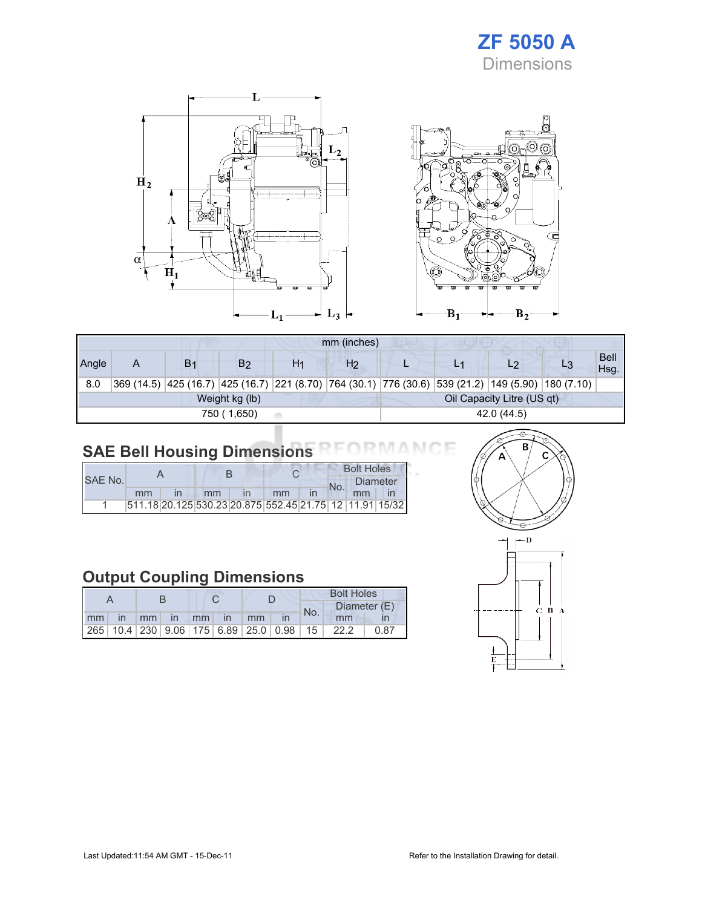## ZF 5050 A Dimensions



|       | mm (inches)                                  |                |             |             |                |  |                                                                                                    |    |  |                     |
|-------|----------------------------------------------|----------------|-------------|-------------|----------------|--|----------------------------------------------------------------------------------------------------|----|--|---------------------|
| Angle | Α                                            | B <sub>1</sub> | B2          | 61          | H <sub>2</sub> |  |                                                                                                    | Lヮ |  | <b>Bell</b><br>Hsg. |
| 8.0   |                                              |                |             |             |                |  | 369 (14.5) 425 (16.7) 425 (16.7) 221 (8.70) 764 (30.1) 776 (30.6) 539 (21.2) 149 (5.90) 180 (7.10) |    |  |                     |
|       | Oil Capacity Litre (US qt)<br>Weight kg (lb) |                |             |             |                |  |                                                                                                    |    |  |                     |
|       |                                              |                | 750 (1,650) | 42.0 (44.5) |                |  |                                                                                                    |    |  |                     |

#### SAE Bell Housing Dimensions **RMAN** ١F

|         |    |  |    |  |                                                         |  | <b>Bolt Holes</b> |          |  |  |
|---------|----|--|----|--|---------------------------------------------------------|--|-------------------|----------|--|--|
| SAE No. |    |  |    |  |                                                         |  |                   | Diameter |  |  |
|         | mm |  | mm |  | mm                                                      |  |                   | mm       |  |  |
|         |    |  |    |  | 511.18 20.125 530.23 20.875 552.45 21.75 12 11.91 15/32 |  |                   |          |  |  |

## Output Coupling Dimensions

|  |  |  |                       |  |  |     | <b>Bolt Holes</b>                                              |              |  |
|--|--|--|-----------------------|--|--|-----|----------------------------------------------------------------|--------------|--|
|  |  |  |                       |  |  | No. |                                                                | Diameter (E) |  |
|  |  |  | Imm in mm in mm in mm |  |  |     | mm                                                             |              |  |
|  |  |  |                       |  |  |     | 265   10.4   230   9.06   175   6.89   25.0   0.98   15   22.2 | 0.87         |  |